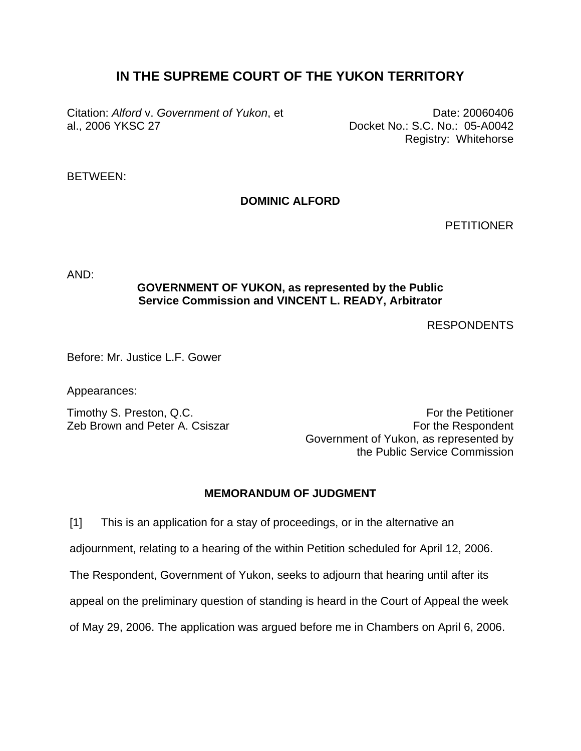# **IN THE SUPREME COURT OF THE YUKON TERRITORY**

Citation: *Alford* v. *Government of Yukon*, et al., 2006 YKSC 27

Date: 20060406 Docket No.: S.C. No.: 05-A0042 Registry: Whitehorse

## BETWEEN:

## **DOMINIC ALFORD**

**PETITIONER** 

AND:

### **GOVERNMENT OF YUKON, as represented by the Public Service Commission and VINCENT L. READY, Arbitrator**

RESPONDENTS

Before: Mr. Justice L.F. Gower

Appearances:

Timothy S. Preston, Q.C. Timothy S. Preston, Q.C. Zeb Brown and Peter A. Csiszar **For the Respondent** Government of Yukon, as represented by the Public Service Commission

#### **MEMORANDUM OF JUDGMENT**

[1] This is an application for a stay of proceedings, or in the alternative an

adjournment, relating to a hearing of the within Petition scheduled for April 12, 2006.

The Respondent, Government of Yukon, seeks to adjourn that hearing until after its

appeal on the preliminary question of standing is heard in the Court of Appeal the week

of May 29, 2006. The application was argued before me in Chambers on April 6, 2006.